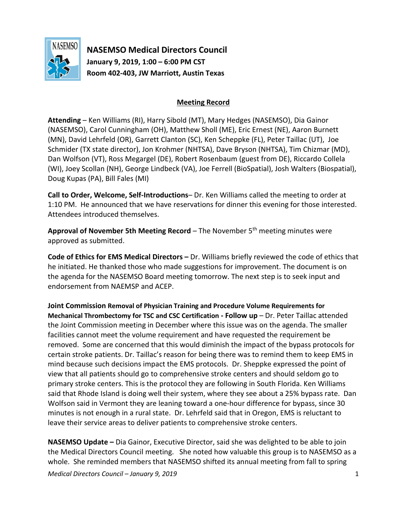

**NASEMSO Medical Directors Council January 9, 2019, 1:00 – 6:00 PM CST Room 402-403, JW Marriott, Austin Texas**

## **Meeting Record**

**Attending** – Ken Williams (RI), Harry Sibold (MT), Mary Hedges (NASEMSO), Dia Gainor (NASEMSO), Carol Cunningham (OH), Matthew Sholl (ME), Eric Ernest (NE), Aaron Burnett (MN), David Lehrfeld (OR), Garrett Clanton (SC), Ken Scheppke (FL), Peter Taillac (UT), Joe Schmider (TX state director), Jon Krohmer (NHTSA), Dave Bryson (NHTSA), Tim Chizmar (MD), Dan Wolfson (VT), Ross Megargel (DE), Robert Rosenbaum (guest from DE), Riccardo Collela (WI), Joey Scollan (NH), George Lindbeck (VA), Joe Ferrell (BioSpatial), Josh Walters (Biospatial), Doug Kupas (PA), Bill Fales (MI)

**Call to Order, Welcome, Self-Introductions**– Dr. Ken Williams called the meeting to order at 1:10 PM. He announced that we have reservations for dinner this evening for those interested. Attendees introduced themselves.

**Approval of November 5th Meeting Record** – The November 5th meeting minutes were approved as submitted.

**Code of Ethics for EMS Medical Directors –** Dr. Williams briefly reviewed the code of ethics that he initiated. He thanked those who made suggestions for improvement. The document is on the agenda for the NASEMSO Board meeting tomorrow. The next step is to seek input and endorsement from NAEMSP and ACEP.

**Joint Commission Removal of Physician Training and Procedure Volume Requirements for Mechanical Thrombectomy for TSC and CSC Certification - Follow up** – Dr. Peter Taillac attended the Joint Commission meeting in December where this issue was on the agenda. The smaller facilities cannot meet the volume requirement and have requested the requirement be removed. Some are concerned that this would diminish the impact of the bypass protocols for certain stroke patients. Dr. Taillac's reason for being there was to remind them to keep EMS in mind because such decisions impact the EMS protocols. Dr. Sheppke expressed the point of view that all patients should go to comprehensive stroke centers and should seldom go to primary stroke centers. This is the protocol they are following in South Florida. Ken Williams said that Rhode Island is doing well their system, where they see about a 25% bypass rate. Dan Wolfson said in Vermont they are leaning toward a one-hour difference for bypass, since 30 minutes is not enough in a rural state. Dr. Lehrfeld said that in Oregon, EMS is reluctant to leave their service areas to deliver patients to comprehensive stroke centers.

**NASEMSO Update –** Dia Gainor, Executive Director, said she was delighted to be able to join the Medical Directors Council meeting. She noted how valuable this group is to NASEMSO as a whole. She reminded members that NASEMSO shifted its annual meeting from fall to spring

*Medical Directors Council – January 9, 2019* 1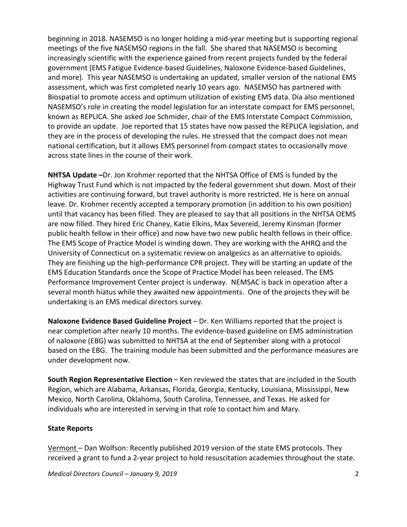beginning in 2018. NASEMSO is no longer holding a mid-year meeting but is supporting regional meetings of the five NASEMSO regions in the fall. She shared that NASEMSO is becoming increasingly scientific with the experience gained from recent projects funded by the federal government (EMS Fatigue Evidence-based Guidelines, Naloxone Evidence-based Guidelines, and more). This year NASEMSO is undertaking an updated, smaller version of the national EMS assessment, which was first completed nearly 10 years ago. NASEMSO has partnered with Biospatial to promote access and optimum utilization of existing EMS data. Dia also mentioned NASEMSO's role in creating the model legislation for an interstate compact for EMS personnel, known as REPLICA. She asked Joe Schmider, chair of the EMS Interstate Compact Commission, to provide an update. Joe reported that 15 states have now passed the REPLICA legislation, and they are in the process of developing the rules. He stressed that the compact does not mean national certification, but it allows EMS personnel from compact states to occasionally move across state lines in the course of their work.

**NHTSA Update –**Dr. Jon Krohmer reported that the NHTSA Office of EMS is funded by the Highway Trust Fund which is not impacted by the federal government shut down. Most of their activities are continuing forward, but travel authority is more restricted. He is here on annual leave. Dr. Krohmer recently accepted a temporary promotion (in addition to his own position) until that vacancy has been filled. They are pleased to say that all positions in the NHTSA OEMS are now filled. They hired Eric Chaney, Katie Elkins, Max Severeid, Jeremy Kinsman (former public health fellow in their office) and now have two new public health fellows in their office. The EMS Scope of Practice Model is winding down. They are working with the AHRQ and the University of Connecticut on a systematic review on analgesics as an alternative to opioids. They are finishing up the high-performance CPR project. They will be starting an update of the EMS Education Standards once the Scope of Practice Model has been released. The EMS Performance Improvement Center project is underway. NEMSAC is back in operation after a several month hiatus while they awaited new appointments. One of the projects they will be undertaking is an EMS medical directors survey.

**Naloxone Evidence Based Guideline Project** – Dr. Ken Williams reported that the project is near completion after nearly 10 months. The evidence-based guideline on EMS administration of naloxone (EBG) was submitted to NHTSA at the end of September along with a protocol based on the EBG. The training module has been submitted and the performance measures are under development now.

**South Region Representative Election** – Ken reviewed the states that are included in the South Region, which are Alabama, Arkansas, Florida, Georgia, Kentucky, Louisiana, Mississippi, New Mexico, North Carolina, Oklahoma, South Carolina, Tennessee, and Texas. He asked for individuals who are interested in serving in that role to contact him and Mary.

## **State Reports**

Vermont – Dan Wolfson: Recently published 2019 version of the state EMS protocols. They received a grant to fund a 2-year project to hold resuscitation academies throughout the state.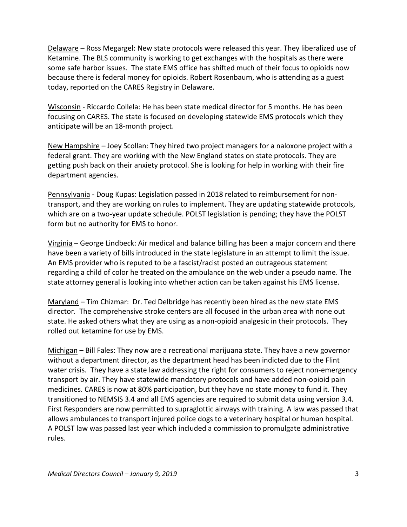Delaware – Ross Megargel: New state protocols were released this year. They liberalized use of Ketamine. The BLS community is working to get exchanges with the hospitals as there were some safe harbor issues. The state EMS office has shifted much of their focus to opioids now because there is federal money for opioids. Robert Rosenbaum, who is attending as a guest today, reported on the CARES Registry in Delaware.

Wisconsin - Riccardo Collela: He has been state medical director for 5 months. He has been focusing on CARES. The state is focused on developing statewide EMS protocols which they anticipate will be an 18-month project.

New Hampshire – Joey Scollan: They hired two project managers for a naloxone project with a federal grant. They are working with the New England states on state protocols. They are getting push back on their anxiety protocol. She is looking for help in working with their fire department agencies.

Pennsylvania - Doug Kupas: Legislation passed in 2018 related to reimbursement for nontransport, and they are working on rules to implement. They are updating statewide protocols, which are on a two-year update schedule. POLST legislation is pending; they have the POLST form but no authority for EMS to honor.

Virginia – George Lindbeck: Air medical and balance billing has been a major concern and there have been a variety of bills introduced in the state legislature in an attempt to limit the issue. An EMS provider who is reputed to be a fascist/racist posted an outrageous statement regarding a child of color he treated on the ambulance on the web under a pseudo name. The state attorney general is looking into whether action can be taken against his EMS license.

Maryland – Tim Chizmar: Dr. Ted Delbridge has recently been hired as the new state EMS director. The comprehensive stroke centers are all focused in the urban area with none out state. He asked others what they are using as a non-opioid analgesic in their protocols. They rolled out ketamine for use by EMS.

Michigan – Bill Fales: They now are a recreational marijuana state. They have a new governor without a department director, as the department head has been indicted due to the Flint water crisis. They have a state law addressing the right for consumers to reject non-emergency transport by air. They have statewide mandatory protocols and have added non-opioid pain medicines. CARES is now at 80% participation, but they have no state money to fund it. They transitioned to NEMSIS 3.4 and all EMS agencies are required to submit data using version 3.4. First Responders are now permitted to supraglottic airways with training. A law was passed that allows ambulances to transport injured police dogs to a veterinary hospital or human hospital. A POLST law was passed last year which included a commission to promulgate administrative rules.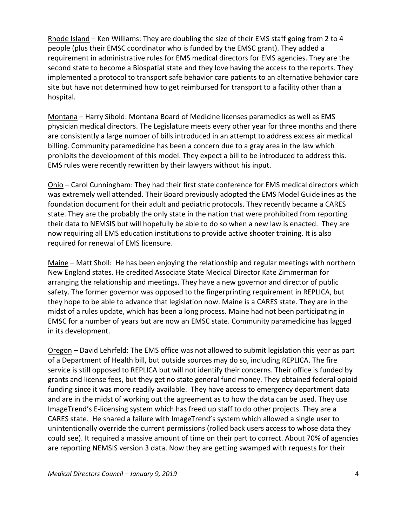Rhode Island – Ken Williams: They are doubling the size of their EMS staff going from 2 to 4 people (plus their EMSC coordinator who is funded by the EMSC grant). They added a requirement in administrative rules for EMS medical directors for EMS agencies. They are the second state to become a Biospatial state and they love having the access to the reports. They implemented a protocol to transport safe behavior care patients to an alternative behavior care site but have not determined how to get reimbursed for transport to a facility other than a hospital.

Montana – Harry Sibold: Montana Board of Medicine licenses paramedics as well as EMS physician medical directors. The Legislature meets every other year for three months and there are consistently a large number of bills introduced in an attempt to address excess air medical billing. Community paramedicine has been a concern due to a gray area in the law which prohibits the development of this model. They expect a bill to be introduced to address this. EMS rules were recently rewritten by their lawyers without his input.

Ohio – Carol Cunningham: They had their first state conference for EMS medical directors which was extremely well attended. Their Board previously adopted the EMS Model Guidelines as the foundation document for their adult and pediatric protocols. They recently became a CARES state. They are the probably the only state in the nation that were prohibited from reporting their data to NEMSIS but will hopefully be able to do so when a new law is enacted. They are now requiring all EMS education institutions to provide active shooter training. It is also required for renewal of EMS licensure.

Maine – Matt Sholl: He has been enjoying the relationship and regular meetings with northern New England states. He credited Associate State Medical Director Kate Zimmerman for arranging the relationship and meetings. They have a new governor and director of public safety. The former governor was opposed to the fingerprinting requirement in REPLICA, but they hope to be able to advance that legislation now. Maine is a CARES state. They are in the midst of a rules update, which has been a long process. Maine had not been participating in EMSC for a number of years but are now an EMSC state. Community paramedicine has lagged in its development.

Oregon – David Lehrfeld: The EMS office was not allowed to submit legislation this year as part of a Department of Health bill, but outside sources may do so, including REPLICA. The fire service is still opposed to REPLICA but will not identify their concerns. Their office is funded by grants and license fees, but they get no state general fund money. They obtained federal opioid funding since it was more readily available. They have access to emergency department data and are in the midst of working out the agreement as to how the data can be used. They use ImageTrend's E-licensing system which has freed up staff to do other projects. They are a CARES state. He shared a failure with ImageTrend's system which allowed a single user to unintentionally override the current permissions (rolled back users access to whose data they could see). It required a massive amount of time on their part to correct. About 70% of agencies are reporting NEMSIS version 3 data. Now they are getting swamped with requests for their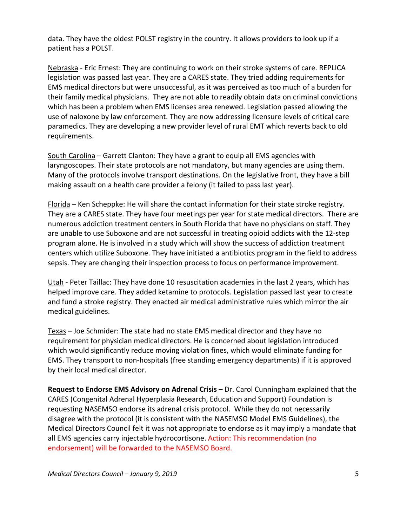data. They have the oldest POLST registry in the country. It allows providers to look up if a patient has a POLST.

Nebraska - Eric Ernest: They are continuing to work on their stroke systems of care. REPLICA legislation was passed last year. They are a CARES state. They tried adding requirements for EMS medical directors but were unsuccessful, as it was perceived as too much of a burden for their family medical physicians. They are not able to readily obtain data on criminal convictions which has been a problem when EMS licenses area renewed. Legislation passed allowing the use of naloxone by law enforcement. They are now addressing licensure levels of critical care paramedics. They are developing a new provider level of rural EMT which reverts back to old requirements.

South Carolina – Garrett Clanton: They have a grant to equip all EMS agencies with laryngoscopes. Their state protocols are not mandatory, but many agencies are using them. Many of the protocols involve transport destinations. On the legislative front, they have a bill making assault on a health care provider a felony (it failed to pass last year).

Florida – Ken Scheppke: He will share the contact information for their state stroke registry. They are a CARES state. They have four meetings per year for state medical directors. There are numerous addiction treatment centers in South Florida that have no physicians on staff. They are unable to use Suboxone and are not successful in treating opioid addicts with the 12-step program alone. He is involved in a study which will show the success of addiction treatment centers which utilize Suboxone. They have initiated a antibiotics program in the field to address sepsis. They are changing their inspection process to focus on performance improvement.

Utah - Peter Taillac: They have done 10 resuscitation academies in the last 2 years, which has helped improve care. They added ketamine to protocols. Legislation passed last year to create and fund a stroke registry. They enacted air medical administrative rules which mirror the air medical guidelines.

Texas – Joe Schmider: The state had no state EMS medical director and they have no requirement for physician medical directors. He is concerned about legislation introduced which would significantly reduce moving violation fines, which would eliminate funding for EMS. They transport to non-hospitals (free standing emergency departments) if it is approved by their local medical director.

**Request to Endorse EMS Advisory on Adrenal Crisis** – Dr. Carol Cunningham explained that the CARES (Congenital Adrenal Hyperplasia Research, Education and Support) Foundation is requesting NASEMSO endorse its adrenal crisis protocol. While they do not necessarily disagree with the protocol (it is consistent with the NASEMSO Model EMS Guidelines), the Medical Directors Council felt it was not appropriate to endorse as it may imply a mandate that all EMS agencies carry injectable hydrocortisone. Action: This recommendation (no endorsement) will be forwarded to the NASEMSO Board.